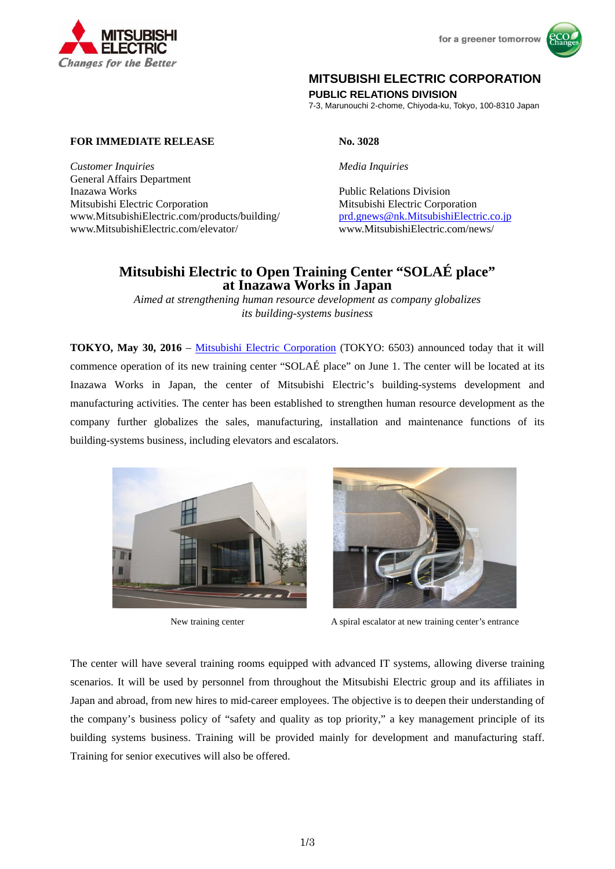



# **MITSUBISHI ELECTRIC CORPORATION**

**PUBLIC RELATIONS DIVISION** 

7-3, Marunouchi 2-chome, Chiyoda-ku, Tokyo, 100-8310 Japan

# **FOR IMMEDIATE RELEASE No. 3028**

*Customer Inquiries Media Inquiries* General Affairs Department Inazawa Works Public Relations Division Mitsubishi Electric Corporation Mitsubishi Electric Corporation www.MitsubishiElectric.com/products/building/ prd.gnews@nk.MitsubishiElectric.co.jp www.MitsubishiElectric.com/elevator/ www.MitsubishiElectric.com/news/

# **Mitsubishi Electric to Open Training Center "SOLAÉ place" at Inazawa Works in Japan**

*Aimed at strengthening human resource development as company globalizes its building-systems business* 

**TOKYO, May 30, 2016** – Mitsubishi Electric Corporation (TOKYO: 6503) announced today that it will commence operation of its new training center "SOLAÉ place" on June 1. The center will be located at its Inazawa Works in Japan, the center of Mitsubishi Electric's building-systems development and manufacturing activities. The center has been established to strengthen human resource development as the company further globalizes the sales, manufacturing, installation and maintenance functions of its building-systems business, including elevators and escalators.





New training center A spiral escalator at new training center's entrance

The center will have several training rooms equipped with advanced IT systems, allowing diverse training scenarios. It will be used by personnel from throughout the Mitsubishi Electric group and its affiliates in Japan and abroad, from new hires to mid-career employees. The objective is to deepen their understanding of the company's business policy of "safety and quality as top priority," a key management principle of its building systems business. Training will be provided mainly for development and manufacturing staff. Training for senior executives will also be offered.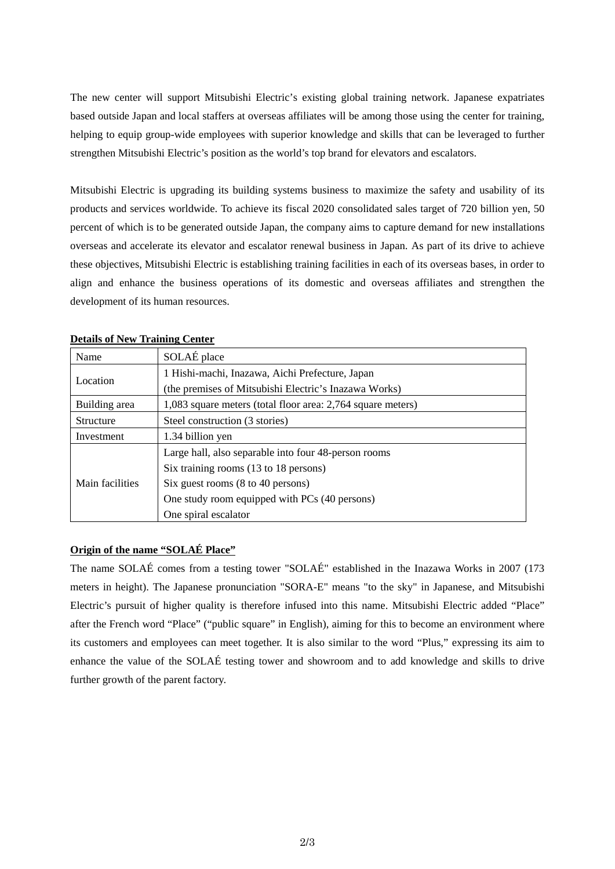The new center will support Mitsubishi Electric's existing global training network. Japanese expatriates based outside Japan and local staffers at overseas affiliates will be among those using the center for training, helping to equip group-wide employees with superior knowledge and skills that can be leveraged to further strengthen Mitsubishi Electric's position as the world's top brand for elevators and escalators.

Mitsubishi Electric is upgrading its building systems business to maximize the safety and usability of its products and services worldwide. To achieve its fiscal 2020 consolidated sales target of 720 billion yen, 50 percent of which is to be generated outside Japan, the company aims to capture demand for new installations overseas and accelerate its elevator and escalator renewal business in Japan. As part of its drive to achieve these objectives, Mitsubishi Electric is establishing training facilities in each of its overseas bases, in order to align and enhance the business operations of its domestic and overseas affiliates and strengthen the development of its human resources.

| Name            | SOLAÉ place                                                 |
|-----------------|-------------------------------------------------------------|
| Location        | 1 Hishi-machi, Inazawa, Aichi Prefecture, Japan             |
|                 | (the premises of Mitsubishi Electric's Inazawa Works)       |
| Building area   | 1,083 square meters (total floor area: 2,764 square meters) |
| Structure       | Steel construction (3 stories)                              |
| Investment      | 1.34 billion yen                                            |
| Main facilities | Large hall, also separable into four 48-person rooms        |
|                 | Six training rooms (13 to 18 persons)                       |
|                 | Six guest rooms (8 to 40 persons)                           |
|                 | One study room equipped with PCs (40 persons)               |
|                 | One spiral escalator                                        |

### **Details of New Training Center**

## **Origin of the name "SOLAÉ Place"**

The name SOLAÉ comes from a testing tower "SOLAÉ" established in the Inazawa Works in 2007 (173 meters in height). The Japanese pronunciation "SORA-E" means "to the sky" in Japanese, and Mitsubishi Electric's pursuit of higher quality is therefore infused into this name. Mitsubishi Electric added "Place" after the French word "Place" ("public square" in English), aiming for this to become an environment where its customers and employees can meet together. It is also similar to the word "Plus," expressing its aim to enhance the value of the SOLAÉ testing tower and showroom and to add knowledge and skills to drive further growth of the parent factory.